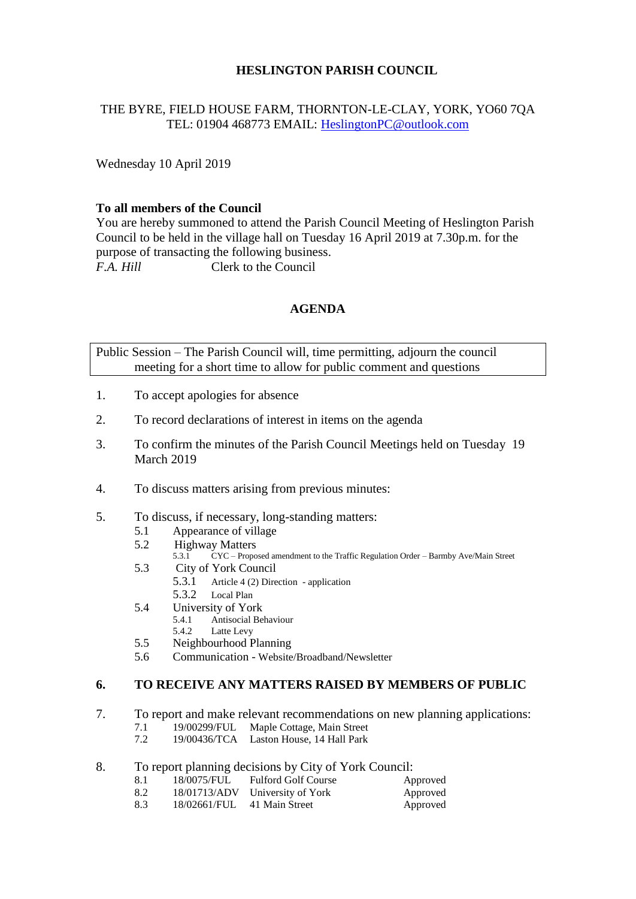#### **HESLINGTON PARISH COUNCIL**

# THE BYRE, FIELD HOUSE FARM, THORNTON-LE-CLAY, YORK, YO60 7QA TEL: 01904 468773 EMAIL: [HeslingtonPC@outlook.com](mailto:HeslingtonPC@outlook.com)

Wednesday 10 April 2019

#### **To all members of the Council**

You are hereby summoned to attend the Parish Council Meeting of Heslington Parish Council to be held in the village hall on Tuesday 16 April 2019 at 7.30p.m. for the purpose of transacting the following business. *F.A. Hill* Clerk to the Council

# **AGENDA**

Public Session – The Parish Council will, time permitting, adjourn the council meeting for a short time to allow for public comment and questions

- 1. To accept apologies for absence
- 2. To record declarations of interest in items on the agenda
- 3. To confirm the minutes of the Parish Council Meetings held on Tuesday 19 March 2019
- 4. To discuss matters arising from previous minutes:
- 5. To discuss, if necessary, long-standing matters:
	- 5.1 Appearance of village<br>5.2 Highway Matters
	- Highway Matters<br>5.3.1 CYC-Propo
		- 5.3.1 CYC Proposed amendment to the Traffic Regulation Order Barmby Ave/Main Street
	- 5.3 City of York Council
		- 5.3.1 Article 4 (2) Direction application
	- 5.3.2 Local Plan
	- 5.4 University of York
		- 5.4.1 Antisocial Behaviour
		- 5.4.2 Latte Levy
	- 5.5 Neighbourhood Planning
	- 5.6 Communication Website/Broadband/Newsletter

# **6. TO RECEIVE ANY MATTERS RAISED BY MEMBERS OF PUBLIC**

- 7. To report and make relevant recommendations on new planning applications:
	- 7.1 19/00299/FUL Maple Cottage, Main Street
	- 7.2 19/00436/TCA Laston House, 14 Hall Park
- 8. To report planning decisions by City of York Council:

| 8.1 | 18/0075/FUL                 | <b>Fulford Golf Course</b>      | Approved |
|-----|-----------------------------|---------------------------------|----------|
| 8.2 |                             | 18/01713/ADV University of York | Approved |
| 8.3 | 18/02661/FUL 41 Main Street |                                 | Approved |